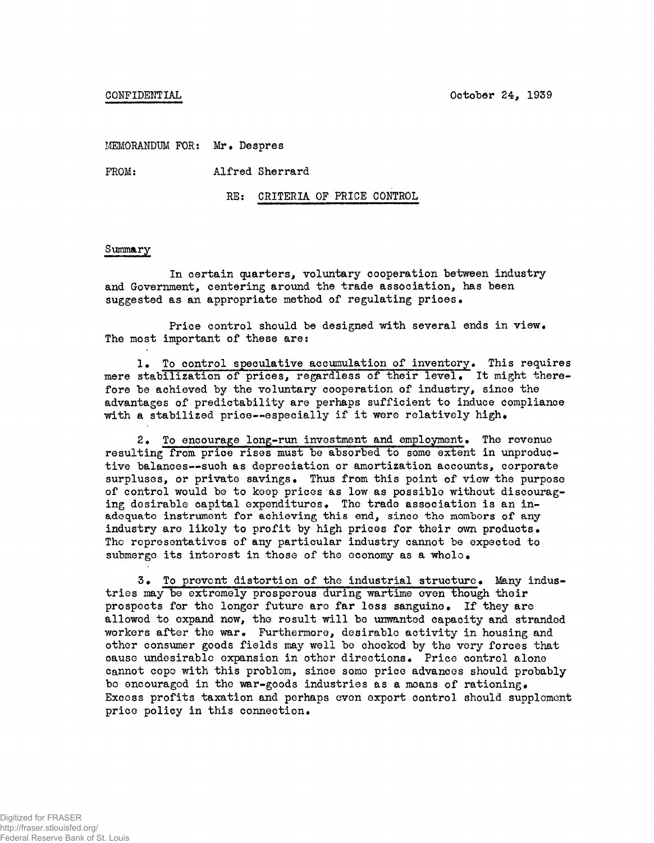CONFIDENTIAL October 24, 1939

MEMORANDUM FOR: Mr. Despres

FROM: Alfred Sherrard

RE: CRITERIA OF PRICE CONTROL

#### Summary

In certain quarters, voluntary cooperation between industry and Government, centering around the trade association, has been suggested as an appropriate method of regulating prices .

Price control should be designed with several ends in view. The most important of these are:

1. To control speculative accumulation of inventory. This requires mere stabilization of prices, regardless of their level. It might therefore be achieved by the voluntary cooperation of industry, since the advantages of predictability are perhaps sufficient to induce compliance with a stabilized price--especially if it were relatively high.

2. To encourage long-run investment and employment. The revenue resulting from price rises must be absorbed to some extent in unproductive balances--such as depreciation or amortization accounts, corporate surpluses, or private savings. Thus from this point of view the purpose of control would be to keep prices as low as possible without discouraging desirable capital expenditures. The trade association is an inadequate instrument for achieving this end, since the mombors of any industry are likely to profit by high prices for their own products. The representatives of any particular industry cannot be expected to submerge its interest in those of the economy as a whole.

3. To prevent distortion of the industrial structure. Many industries may be extremely prosperous during wartime even though their prospects for the longer future are far less sanguine. If they are allowed to expand now, the result will be unwanted capacity and stranded workers after the war. Furthermore, desirable activity in housing and other consumer goods fields may well be checked by the very forces that cause undesirable expansion in other directions. Price control alone cannot cope with this problem, since some price advances should probably bo encouraged in the war-goods industries as a means of rationing. Excess profits taxation and perhaps even export control should supplement price policy in this connection.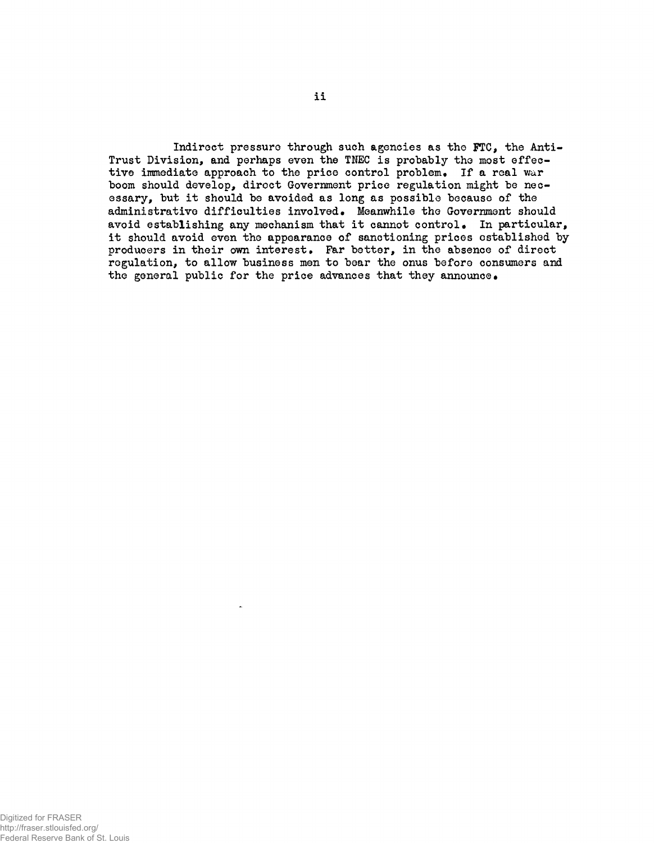Indirect pressure through such agencies as the FTC, the Anti-Trust Division, and perhaps even the TNEC is probably the most effective immediate approach to the price control problem. If a real war boom should develop, direct Government price regulation might be necessary, but it should be avoided as long as possible because of the administrative difficulties involved. Meanwhile the Government should avoid establishing any mechanism that it cannot control. In particular, it should avoid even the appearance of sanctioning prices established by producers in their own interest. Far better, in the absence of direct regulation, to allow business men to bear the onus before consumers and the general public for the price advances that they announce.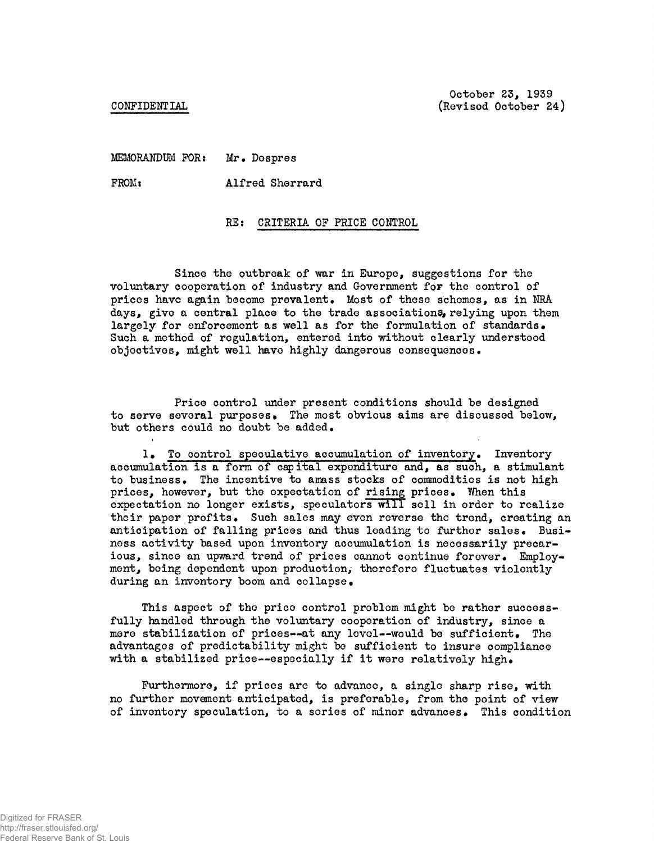CONFIDENTIAL

October 23, 1939 (Revised October 24)

MEMORANDUM FOR: Mr. Dospres

FROM: Alfred Sherrard

## RE: CRITERIA OF PRICE CONTROL

Since the outbreak of war in Europe, suggestions for the voluntary cooperation of industry and Government for the control of prices have again become prevalent. Most of these schemes, as in NRA days, give a central place to the trade associations, relying upon them largely for enforcement as well as for the formulation of standards. Such a method of regulation, entered into without clearly understood objectives, might well have highly dangerous consequences.

Price control under present conditions should be designed to serve several purposes. The most obvious aims are discussed below, but others could no doubt be added.

1• To control speculative accumulation of inventory• Inventory accumulation is a form of capital expenditure and, as such, a stimulant to business. The incentive to amass stocks of commodities is not high prices, however, but the expectation of rising prices. When this expectation no longer exists, speculators will sell in order to realize their paper profits. Such sales may even reverse the trend, creating an anticipation of falling prices and thus loading to further sales. Business activity based upon inventory accumulation is necessarily precarious, since an upward trend of prices cannot continue forever. Employment, being dependent upon production, therefore fluctuates violently during an inventory boom and collapse.

This aspect of the price control problem might be rather successfully handled through the voluntary cooperation of industry, since a mere stabilization of prices--at any level--would be sufficient. The advantages of predictability might be sufficient to insure compliance with a stabilized price--especially if it were relatively high.

Furthermore, if prices are to advance, a single sharp rise, with no further movement anticipated, is preferable, from the point of view of inventory speculation, to a scries of minor advances. This condition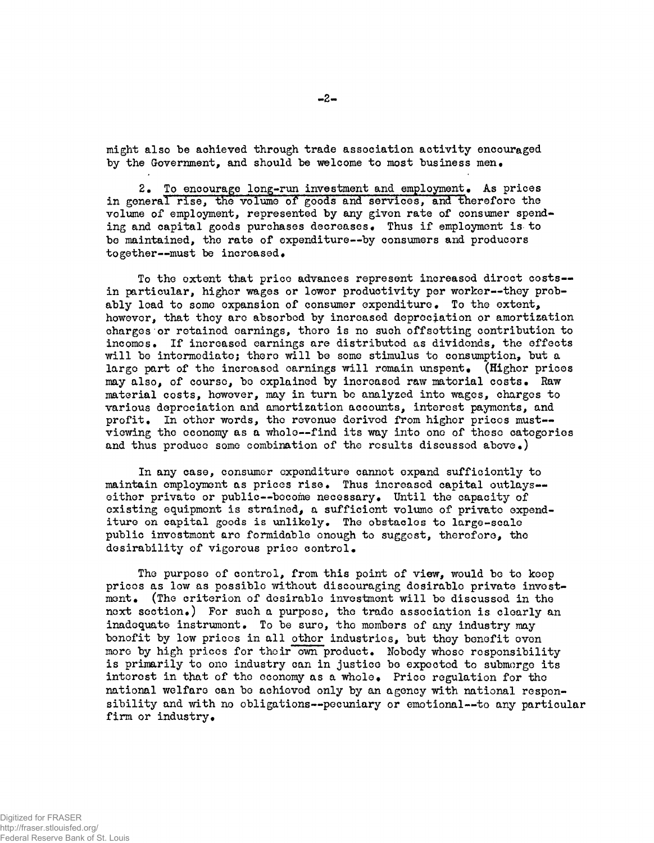might also be achieved through trade association activity encouraged by the Government, and should be welcome to most business men.

2. To encourage long-run investment and employment. As prices in general rise, the volume of goods and services, and therefore the volume of employment, represented by any given rate of consumer spending and capital goods purchases decreases. Thus if employment is to be maintained, the rate of expenditure—by consumers and producers together--must be increased.

To the extent that price advances represent increased direct costs-in particular, higher wages or lower productivity per worker--they probably lead to some expansion of consumer expenditure. To the extent, however, that they are absorbed by increased depreciation or amortization charges or retained earnings, there is no such offsetting contribution to incomes. If increased earnings are distributed as dividends, the effects will be intermediate; there will be some stimulus to consumption, but a largo part of the increased earnings will remain unspent. (Higher prices may also, of course, be explained by increased raw material costs. Raw material costs, however, may in turn be analyzed into wages, charges to various depreciation and amortization accounts, interest payments, and profit. In other words, the revenue derived from highor prices must-viewing the economy as a whole--find its way into one of theso categories and thus produce some combination of the results discussed above.)

In any case, consumer expenditure cannot expand sufficiently to maintain employment as prices rise. Thus increased capital outlays-either private or public--become necessary. Until the capacity of existing equipment is strained, a sufficient volume of private expenditure on capital goods is unlikely. The obstacles to large-scale public investment are formidable enough to suggest, therefore, the desirability of vigorous price control.

The purpose of control, from this point of view, would be to keep prices as low as possible without discouraging desirable private investment. (The criterion of desirable investment will be discussed in the next section.) For such a purpose, the trade association is clearly an inadequate instrument. To be sure, the members of any industry may benefit by low prices in all other industries, but they benefit even more by high prices for their own product. Nobody whose responsibility is primarily to one industry can in justice be expected to submerge its interest in that of the economy as a whole. Price regulation for the national welfare can be achieved only by an agency with national responsibility and with no obligations--pecuniary or emotional--to any particular firm or industry.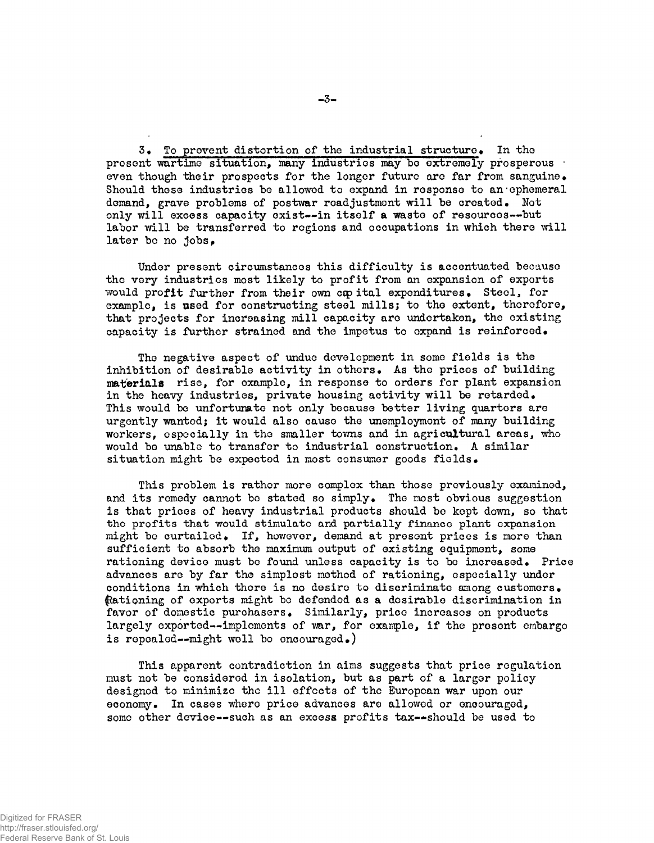3. To provent distortion of the industrial structure. In the present wartime situation, many industries may be extremely prosperous even though their prospects for the longer future are far from sanguine. Should those industries be allowed to expand in response to an ephemeral demand, grave problems of postwar readjustment will be created. Not only will excess capacity exist--in itself a waste of resources--but labor will be transferred to regions and occupations in which there will later be no jobs,

Under present circumstances this difficulty is accentuated because the very industries most likely to profit from an expansion of exports would profit further from their own cap ital expenditures. Steel, for example, is used for constructing steel mills; to the extent, therefore, that projects for increasing mill capacity are undertaken, the existing capacity is further strained and the impetus to oxpand is reinforced.

The negative aspect of undue development in some fields is the inhibition of desirable activity in others. As the prices of building materials rise, for example, in response to orders for plant expansion in the heavy industries, private housing activity will be retarded. This would be unfortumate not only because better living quarters are urgently wanted; it would also cause the unemployment of many building workers, especially in the smaller towns and in agricultural areas, who would be unable to transfer to industrial construction. A similar situation might be expected in most consumer goods fields.

This problem is rather more complex than those previously examined, and its remedy cannot be stated so simply. The most obvious suggestion is that prices of heavy industrial products should be kept down, so that the profits that would stimulate and partially finance plant expansion might be curtailed. If, however, demand at present prices is more than sufficient to absorb the maximum output of existing equipment, some rationing device must be found unless capacity is to be increased. Price advances are by far the simplest method of rationing, especially under conditions in which there is no desire to discriminate among customers. Rationing of exports might be defended as a desirable discrimination in favor of domestic purchasers. Similarly, price increases on products largely exported--implements of war, for example, if the present embargo is repealed--might well be encouraged.)

This apparent contradiction in aims suggests that price regulation must not be considered in isolation, but as part of a larger policy designed to minimize the ill effects of the European war upon our economy. In cases where price advances are allowed or encouraged, some other device--such as an excess profits tax--should be used to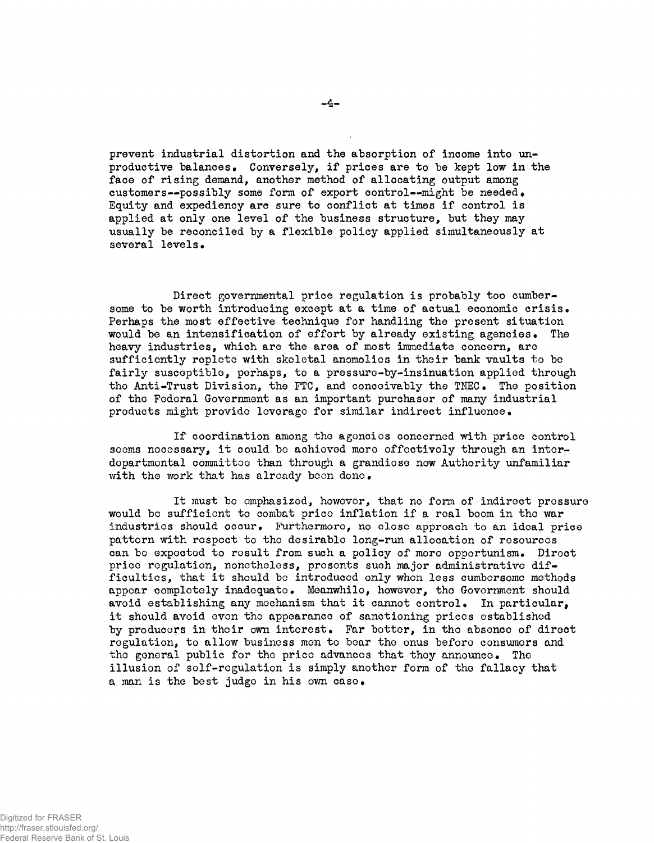prevent industrial distortion and the absorption of income into unproductive balances. Conversely, if prices are to be kept low in the face of rising demand, another method of allocating output among customers—possibly some form of export control--might be needed. Equity and expediency are sure to conflict at times if control is applied at only one level of the business structure, but they may usually be reconciled by a flexible policy applied simultaneously at several levels .

Direct governmental price regulation is probably too cumbersome to be worth introducing except at a time of actual economic crisis . Perhaps the most effective technique for handling the present situation would be an intensification of effort by already existing agencies. The heavy industries, which are the area of most immediate concern, are sufficiently replete with skeletal anomolics in their bank vaults to be fairly susceptible, perhaps, to a pressure-by-insinuation applied through the Anti-Trust Division, the FTC, and conceivably the TNEC. The position of the Federal Government as an important purchaser of many industrial products might provide leverage for similar indirect influence.

If coordination among the agoncies concerned with price control soems nocessary, it could be achioved moro effectively through an interdepartmental committee than through a grandiose new Authority unfamiliar with the work that has already been done.

It must be emphasized, however, that no form of indirect pressure would be sufficient to combat price inflation if a real boom in the war industries should occur. Furthermoro, no close approach to an ideal price pattern with respect to the desirable long-run allocation of resources can be expected to result from such a policy of mere opportunism. Direct price regulation, nonetheless, presents such major administrative difficulties, that it should be introduced only when less cumbersome methods appear completely inadequate. Meanwhile, however, tho Government should avoid establishing any mechanism that it cannot control. In particular, it should avoid even the appearance of sanctioning prices established by producers in their own interest. Far better, in the absence of direct regulation, to allow business men to bear the onus before consumers and the general public for the price advances that they announce. The illusion of self-regulation is simply another form of the fallacy that a man is the best judge in his own case.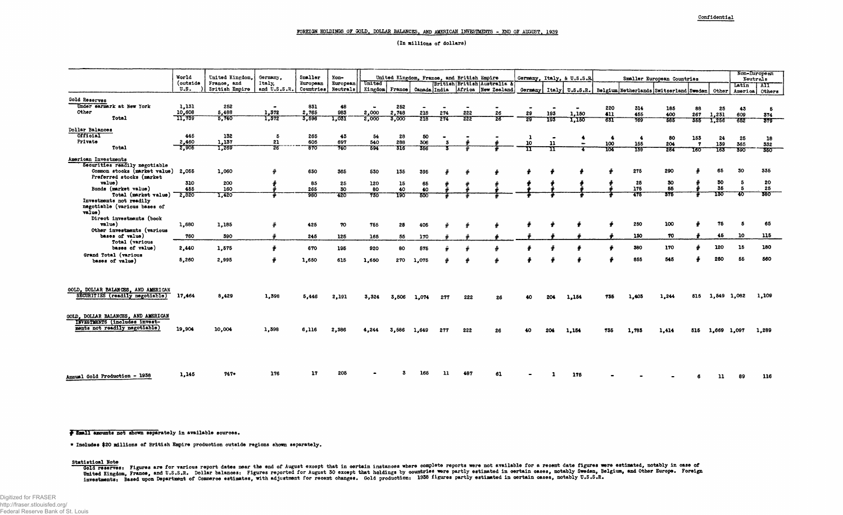**( In millions of dollars)** 

|                                                                             |                           | United Kingdom.<br>France, and<br><b>Eritish Empire</b> | Germany.<br>Italy.<br>and U.S.S.R. | Smaller<br>European | Non-<br>European   United<br>Countries Neutrals   Kingdom France |       |           |                                                                           |     |     |                    |                            |     |                          |                            |                  |                                                                                                |                |             | Non-European |           |  |
|-----------------------------------------------------------------------------|---------------------------|---------------------------------------------------------|------------------------------------|---------------------|------------------------------------------------------------------|-------|-----------|---------------------------------------------------------------------------|-----|-----|--------------------|----------------------------|-----|--------------------------|----------------------------|------------------|------------------------------------------------------------------------------------------------|----------------|-------------|--------------|-----------|--|
|                                                                             | World<br>(outside<br>U.S. |                                                         |                                    |                     |                                                                  |       |           | United Kingdom, France, and British Empire<br>British British Australia & |     |     |                    | Germany, Italy, & U.S.S.R. |     |                          | Smaller European Countries |                  |                                                                                                |                | Neutrals    |              |           |  |
|                                                                             |                           |                                                         |                                    |                     |                                                                  |       |           | Canada India                                                              |     |     | Africa New Zealand |                            |     |                          |                            |                  | Germany   Italy   U.S.S.R.   Belgium Netherlands Switzerland Sweden   Other   America   Others |                |             | Latin        | AII       |  |
| Gold Reserves                                                               |                           |                                                         |                                    |                     |                                                                  |       |           |                                                                           |     |     |                    |                            |     |                          |                            |                  |                                                                                                |                |             |              |           |  |
| Under earmark at New York                                                   | 1,131                     | 252                                                     |                                    | 831                 | 48                                                               |       | 252       |                                                                           |     |     |                    |                            |     |                          | 220                        | 314              | 185                                                                                            | 88             | 25          | 43           | -5        |  |
| Other                                                                       | 10,608                    | 5,488                                                   | 1,372                              | 2,765               | 983                                                              | 2,000 | 2,748     | 218                                                                       | 274 | 222 | 26                 | 29                         | 193 | 1,150                    | 411                        | 455              | 400                                                                                            | 267            | 1,231       | 609          | 374       |  |
| Total                                                                       | TI,739                    | 5,740                                                   | 1,372                              | 3,596               | 1,031                                                            | 2,000 | 3,000     | 218                                                                       | 274 | 222 | 26                 | 29                         | 193 | 1,150                    | 63T                        | 769              | 585                                                                                            | 355            | 1,256       | -652         | 379       |  |
| Dollar Balances                                                             |                           |                                                         |                                    |                     |                                                                  |       |           |                                                                           |     |     |                    |                            |     |                          |                            |                  |                                                                                                |                |             |              |           |  |
| Official                                                                    | 445                       | 132                                                     | -5                                 | 265                 | 43                                                               | 54    | 28        | 50                                                                        |     |     |                    | -1                         |     |                          | -4                         | $\ddot{\bullet}$ | 80                                                                                             | 153            | 24          | 25           | 18        |  |
| Private                                                                     | 2,460                     | 1,137                                                   | 21                                 | 605                 | 697                                                              | 540   | 288       | 306                                                                       |     |     |                    | 10                         | 11  | $\overline{\phantom{a}}$ | 100                        | 155              | 204                                                                                            | $\overline{7}$ | 139         | 365          | 332       |  |
| <b>Total</b>                                                                | 2,905                     | 1,269                                                   | 26                                 | 870                 | 740                                                              | 594   | 316       | 356                                                                       |     |     |                    | π                          | п   |                          | 104                        | 759              | 284                                                                                            | 160            | 163         | 390          | 350       |  |
| American Investments                                                        |                           |                                                         |                                    |                     |                                                                  |       |           |                                                                           |     |     |                    |                            |     |                          |                            |                  |                                                                                                |                |             |              |           |  |
| Securities readily negotiable                                               |                           |                                                         |                                    |                     |                                                                  |       |           |                                                                           |     |     |                    |                            |     |                          |                            |                  |                                                                                                |                |             |              |           |  |
| Common stocks (market value)                                                | 2.055                     | 1,060                                                   |                                    | 630                 | 365                                                              | 530   | 135       | 395                                                                       |     |     |                    |                            |     |                          |                            | 275              | 290                                                                                            |                | 65          | -30          | 335       |  |
| Preferred stocks (market                                                    |                           |                                                         |                                    |                     |                                                                  |       |           |                                                                           |     |     |                    |                            |     |                          |                            |                  |                                                                                                |                |             |              |           |  |
| value)                                                                      | 310                       | 200                                                     |                                    | 85                  | 25                                                               | 120   | 15        | 65                                                                        |     |     |                    |                            |     |                          |                            | 25               | 30                                                                                             |                | 30          | -5           | -20       |  |
| Bonds (market value)                                                        | 455                       | 160                                                     |                                    | 265                 | 30                                                               | 80    | 40        | 40                                                                        |     |     |                    |                            |     |                          |                            | 175              | 55                                                                                             |                | 35<br>130   | - 5          | 25<br>380 |  |
| Total (market value)                                                        | 2,820                     | 1,420                                                   |                                    | 980                 | 420                                                              | 730   | 190       | 500                                                                       |     |     |                    |                            |     |                          |                            | 475              | 375                                                                                            |                |             | क            |           |  |
| Investments not readily<br>negotiable (various bases of<br>$v$ alue)        |                           |                                                         |                                    |                     |                                                                  |       |           |                                                                           |     |     |                    |                            |     |                          |                            |                  |                                                                                                |                |             |              |           |  |
| Direct investments (book                                                    |                           |                                                         |                                    |                     |                                                                  |       |           |                                                                           |     |     |                    |                            |     |                          |                            |                  |                                                                                                |                |             |              |           |  |
| value)                                                                      | 1,680                     | 1,185                                                   |                                    | 425                 | 70                                                               | 755   | 25        | 405                                                                       |     |     |                    |                            |     |                          |                            | 250              | 100                                                                                            |                | 75          | -5           | 65        |  |
| Other investments (various                                                  |                           |                                                         |                                    |                     |                                                                  |       |           |                                                                           |     |     |                    |                            |     |                          |                            |                  |                                                                                                |                |             | 10           | 115       |  |
| bases of value)<br>Total (various                                           | 760                       | 390                                                     |                                    | 245                 | 125                                                              | 165   | 55        | 170                                                                       |     |     |                    |                            |     |                          |                            | 130              | 70                                                                                             |                | 45          |              |           |  |
| bases of value)                                                             | 2,440                     | 1,575                                                   |                                    | 670                 | 195                                                              | 920   | 80        | 575                                                                       |     |     |                    |                            |     |                          |                            | 380              | 170                                                                                            |                | 120         | 15           | 180       |  |
| Grand Total (various                                                        |                           |                                                         |                                    |                     |                                                                  |       |           |                                                                           |     |     |                    |                            |     |                          |                            |                  |                                                                                                |                |             |              |           |  |
| bases of value)                                                             | 5,260                     | 2,995                                                   |                                    | 1,650               | 615                                                              | 1,650 | 270       | 1.075                                                                     |     |     |                    |                            |     |                          |                            | 855              | 545                                                                                            |                | 250         | 55           | 560       |  |
| GOLD, DOLLAR BALANCES, AND AMERICAN                                         |                           |                                                         |                                    |                     |                                                                  |       |           |                                                                           |     |     |                    |                            |     |                          |                            |                  |                                                                                                |                |             |              |           |  |
| SECURITIES (readily negotiable)                                             | 17,464                    | 8,429                                                   | 1.398                              | 5.446               | 2,191                                                            | 3.324 | 3.506     | 1.074                                                                     | 277 | 222 |                    |                            | 204 | 1,154                    | 735                        | 1.403            | 1.244                                                                                          | 515            | 1.549 1.082 |              | 1,109     |  |
|                                                                             |                           |                                                         |                                    |                     |                                                                  |       |           |                                                                           |     |     |                    |                            |     |                          |                            |                  |                                                                                                |                |             |              |           |  |
| GOLD, DOLLAR BALANCES, AND AMERICAN<br><b>INVESTMENTS (includes invest-</b> |                           |                                                         |                                    |                     |                                                                  |       |           |                                                                           |     |     |                    |                            |     |                          |                            |                  |                                                                                                |                |             |              |           |  |
| ments not readily negotiable)                                               | 19,904                    | 10,004                                                  | 1,398                              | 6,116               | 2,386                                                            | 4.244 | 586<br>3. | 1.649                                                                     | 277 | 222 |                    |                            | 204 | 1,154                    | 735                        | 1,783            | 1,414                                                                                          | 515            | 1,669       | 1.097        | 1,289     |  |
|                                                                             |                           |                                                         |                                    |                     |                                                                  |       |           |                                                                           |     |     |                    |                            |     |                          |                            |                  |                                                                                                |                |             |              |           |  |
|                                                                             |                           |                                                         |                                    |                     |                                                                  |       |           |                                                                           |     |     |                    |                            |     |                          |                            |                  |                                                                                                |                |             |              |           |  |
|                                                                             | 1,145                     | $747*$                                                  | 176                                |                     |                                                                  |       |           |                                                                           |     |     | 61                 |                            |     | 176                      |                            |                  |                                                                                                |                |             |              | 116       |  |
| Annual Gold Production - 1938                                               |                           |                                                         |                                    |                     |                                                                  |       |           |                                                                           |     |     |                    |                            |     |                          |                            |                  |                                                                                                |                |             |              |           |  |

**f** Small amounts not shown separately in available sources.

**• Includes #20 millions of British Empire production outside regions shown separately.** 

Gold reserves: Figures are for various report dates mear the end of August except that in certain instances where complete reports were not available for a recent date figures were estimated, notably in case of United Kingdom, France, and U.S.S.R. Dollar balances: Figures reported for August 30 except that holdings by countries were partly estimated in certain cases, notably sweden, perkium, and cher surope. Foreign investments: Based upon Department of Commerce estimates, with adjustment for recent changes. Gold production: 1938 figures partly estimated in certain cases, notably U.S.S.R.